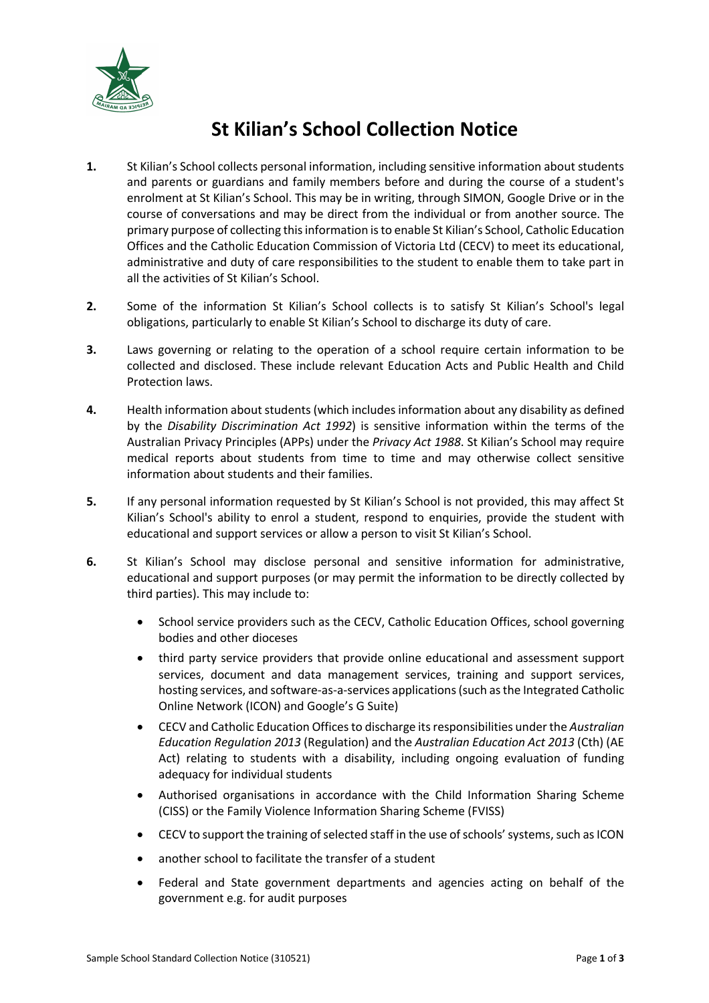

## **St Kilian's School Collection Notice**

- **1.** St Kilian's School collects personal information, including sensitive information about students and parents or guardians and family members before and during the course of a student's enrolment at St Kilian's School. This may be in writing, through SIMON, Google Drive or in the course of conversations and may be direct from the individual or from another source. The primary purpose of collecting this information is to enable St Kilian's School, Catholic Education Offices and the Catholic Education Commission of Victoria Ltd (CECV) to meet its educational, administrative and duty of care responsibilities to the student to enable them to take part in all the activities of St Kilian's School.
- **2.** Some of the information St Kilian's School collects is to satisfy St Kilian's School's legal obligations, particularly to enable St Kilian's School to discharge its duty of care.
- **3.** Laws governing or relating to the operation of a school require certain information to be collected and disclosed. These include relevant Education Acts and Public Health and Child Protection laws.
- **4.** Health information about students (which includes information about any disability as defined by the *Disability Discrimination Act 1992*) is sensitive information within the terms of the Australian Privacy Principles (APPs) under the *Privacy Act 1988*. St Kilian's School may require medical reports about students from time to time and may otherwise collect sensitive information about students and their families.
- **5.** If any personal information requested by St Kilian's School is not provided, this may affect St Kilian's School's ability to enrol a student, respond to enquiries, provide the student with educational and support services or allow a person to visit St Kilian's School.
- **6.** St Kilian's School may disclose personal and sensitive information for administrative, educational and support purposes (or may permit the information to be directly collected by third parties). This may include to:
	- School service providers such as the CECV, Catholic Education Offices, school governing bodies and other dioceses
	- third party service providers that provide online educational and assessment support services, document and data management services, training and support services, hosting services, and software-as-a-services applications (such as the Integrated Catholic Online Network (ICON) and Google's G Suite)
	- CECV and Catholic Education Offices to discharge its responsibilities under the *Australian Education Regulation 2013* (Regulation) and the *Australian Education Act 2013* (Cth) (AE Act) relating to students with a disability, including ongoing evaluation of funding adequacy for individual students
	- Authorised organisations in accordance with the Child Information Sharing Scheme (CISS) or the Family Violence Information Sharing Scheme (FVISS)
	- CECV to support the training of selected staff in the use of schools' systems, such as ICON
	- another school to facilitate the transfer of a student
	- Federal and State government departments and agencies acting on behalf of the government e.g. for audit purposes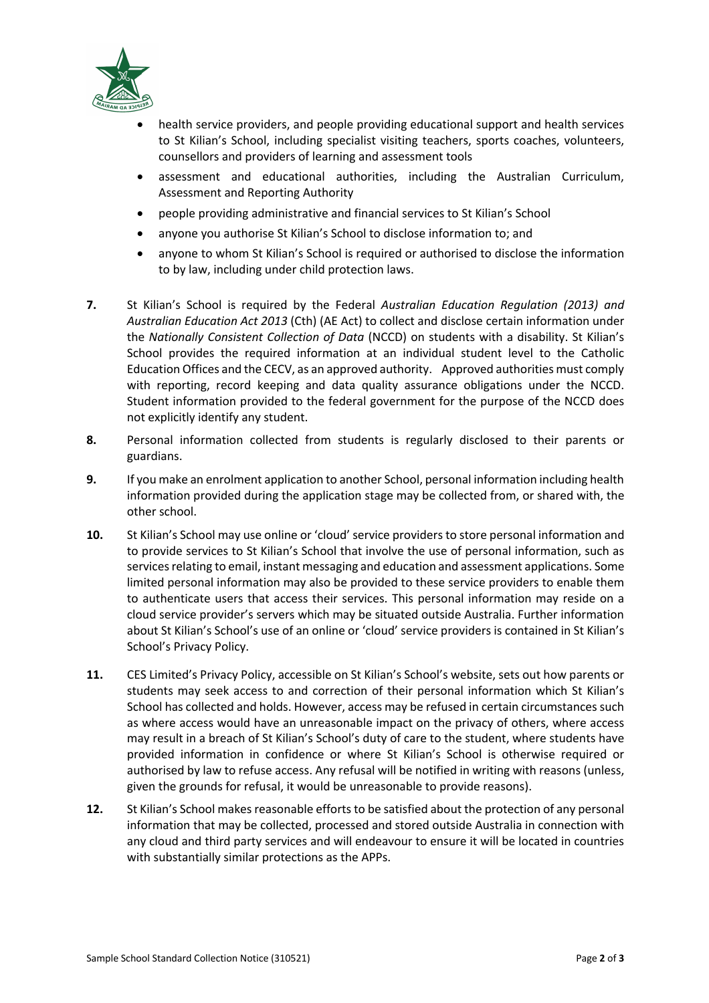

- health service providers, and people providing educational support and health services to St Kilian's School, including specialist visiting teachers, sports coaches, volunteers, counsellors and providers of learning and assessment tools
- assessment and educational authorities, including the Australian Curriculum, Assessment and Reporting Authority
- people providing administrative and financial services to St Kilian's School
- anyone you authorise St Kilian's School to disclose information to; and
- anyone to whom St Kilian's School is required or authorised to disclose the information to by law, including under child protection laws.
- **7.** St Kilian's School is required by the Federal *Australian Education Regulation (2013) and Australian Education Act 2013* (Cth) (AE Act) to collect and disclose certain information under the *Nationally Consistent Collection of Data* (NCCD) on students with a disability. St Kilian's School provides the required information at an individual student level to the Catholic Education Offices and the CECV, as an approved authority. Approved authorities must comply with reporting, record keeping and data quality assurance obligations under the NCCD. Student information provided to the federal government for the purpose of the NCCD does not explicitly identify any student.
- **8.** Personal information collected from students is regularly disclosed to their parents or guardians.
- **9.** If you make an enrolment application to another School, personal information including health information provided during the application stage may be collected from, or shared with, the other school.
- **10.** St Kilian's School may use online or 'cloud' service providers to store personal information and to provide services to St Kilian's School that involve the use of personal information, such as services relating to email, instant messaging and education and assessment applications. Some limited personal information may also be provided to these service providers to enable them to authenticate users that access their services. This personal information may reside on a cloud service provider's servers which may be situated outside Australia. Further information about St Kilian's School's use of an online or 'cloud' service providers is contained in St Kilian's School's Privacy Policy.
- **11.** CES Limited's Privacy Policy, accessible on St Kilian's School's website, sets out how parents or students may seek access to and correction of their personal information which St Kilian's School has collected and holds. However, access may be refused in certain circumstances such as where access would have an unreasonable impact on the privacy of others, where access may result in a breach of St Kilian's School's duty of care to the student, where students have provided information in confidence or where St Kilian's School is otherwise required or authorised by law to refuse access. Any refusal will be notified in writing with reasons (unless, given the grounds for refusal, it would be unreasonable to provide reasons).
- **12.** St Kilian's School makes reasonable efforts to be satisfied about the protection of any personal information that may be collected, processed and stored outside Australia in connection with any cloud and third party services and will endeavour to ensure it will be located in countries with substantially similar protections as the APPs.